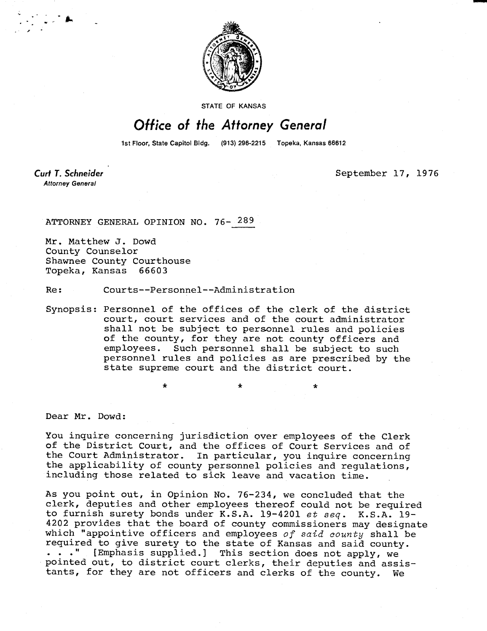

**STATE OF KANSAS** 

## Office of the Attorney General

1st Floor, State Capitol Bldg. (913) 296-2215 Topeka, Kansas 66612

Curt T. Schneider **Attorney General** 

September 17, 1976

ATTORNEY GENERAL OPINION NO. 76- 289

Mr. Matthew J. Dowd County Counselor Shawnee County Courthouse Topeka, Kansas 66603

Re: Courts--Personnel--Administration

 $\ddot{\textbf{x}}$ 

Synopsis: Personnel of the offices of the clerk of the district court, court services and of the court administrator shall not be subject to personnel rules and policies of the county, for they are not county officers and employees. Such personnel shall be subject to such personnel rules and policies as are prescribed by the state supreme court and the district court.

Dear Mr. Dowd:

You inquire concerning jurisdiction over employees of the Clerk of the District Court, and the offices of Court Services and of<br>the Court Administrator. In particular, you inquire concerning In particular, you inquire concerning the applicability of county personnel policies and regulations, including those related to sick leave and vacation time.

As you point out, in Opinion No. 76-234, we concluded that the clerk, deputies and other employees thereof could not be required to furnish surety bonds under K.S.A. 19-4201 et seq. K.S.A. 19- 4202 provides that the board of county commissioners may designate which "appointive officers and employees of said county shall be required to give surety to the state of Kansas and said county. . . ." [Emphasis supplied.] This section does not apply, we pointed out, to district court clerks, their deputies and assistants, for they are not officers and clerks of the county. We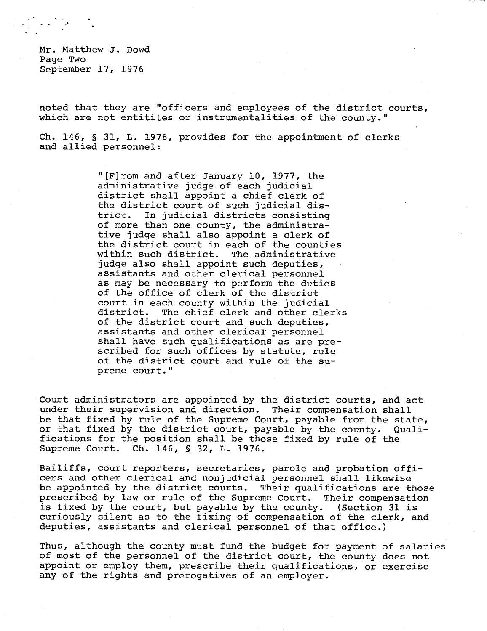Mr. Matthew J. Dowd Page Two September 17, 1976

noted that they are "officers and employees of the district courts, which are not entitites or instrumentalities of the county."

Ch. 146, § 31, L. 1976, provides for the appointment of clerks and allied personnel:

> "[F]rom and after January 10, 1977, the administrative judge of each judicial district shall appoint a chief clerk of the district court of such judicial district. In judicial districts consisting of more than one county, the administrative judge shall also appoint a clerk of the district court in each of the counties within such district. The administrative judge also shall appoint such deputies, assistants and other clerical personnel as may be necessary to perform the duties of the office of clerk of the district court in each county within the judicial<br>district. The chief clerk and other cle: The chief clerk and other clerks of the district court and such deputies, assistants and other clerical personnel shall have such qualifications as are prescribed for such offices by statute, rule of the district court and rule of the supreme court."

Court administrators are appointed by the district courts, and act under their supervision and direction. Their compensation shall be that fixed by rule of the Supreme Court, payable from the state, or that fixed by the district court, payable by the county. Qualifications for the position shall be those fixed by rule of the Supreme Court. Ch. 146, § 32, L. 1976.

Bailiffs, court reporters, secretaries, parole and probation officers and other clerical and nonjudicial personnel shall likewise be appointed by the district courts. Their qualifications are those prescribed by law or rule of the Supreme Court. Their compensation is fixed by the court, but payable by the county. (Section 31 is curiously silent as to the fixing of compensation of the clerk, and deputies, assistants and clerical personnel of that office.)

Thus, although the county must fund the budget for payment of salaries of most of the personnel of the district court, the county does not appoint or employ them, prescribe their qualifications, or exercise any of the rights and prerogatives of an employer.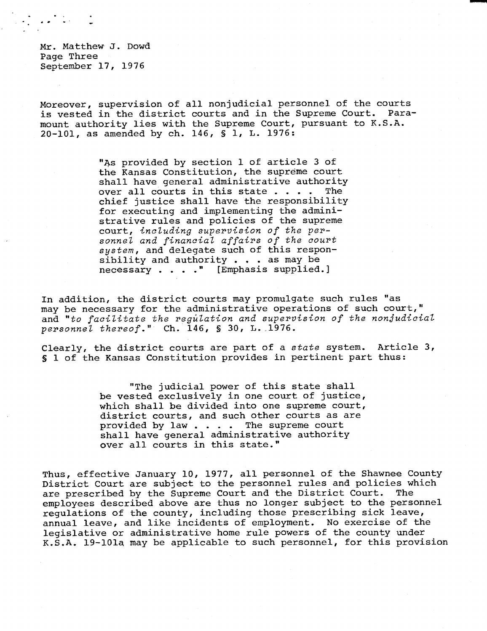Mr. Matthew J. Dowd Page Three September 17, 1976

Moreover, supervision of all nonjudicial personnel of the courts<br>is vested in the district courts and in the Supreme Court. Parais vested in the district courts and in the Supreme Court. mount authority lies with the Supreme Court, pursuant to K.S.A. 20-101, as amended by ch. 146, § 1, L. 1976:

> "As provided by section 1 of article 3 of the Kansas Constitution, the supreme court shall have general administrative authority over all courts in this state . . . . The chief justice shall have the responsibility for executing and implementing the administrative rules and policies of the supreme court, including supervision of the personnel and financial affairs of the court system, and delegate such of this responsibility and authority . . . as may be necessary . . . ." [Emphasis supplied.]

In addition, the district courts may promulgate such rules "as may be necessary for the administrative operations of such court," and "to facilitate the regulation and supervision of the nonjudicial personnel thereof." Ch. 146, § 30, L. 1976.

Clearly, the district courts are part of a state system. Article 3, § 1 of the Kansas Constitution provides in pertinent part thus:

> "The judicial power of this state shall be vested exclusively in one court of justice, which shall be divided into one supreme court, district courts, and such other courts as are provided by law . . . . The supreme court shall have general administrative authority over all courts in this state."

Thus, effective January 10, 1977, all personnel of the Shawnee County District Court are subject to the personnel rules and policies which are prescribed by the Supreme Court and the District Court. The employees described above are thus no longer subject to the personnel regulations of the county, including those prescribing sick leave, annual leave, and like incidents of employment. No exercise of the legislative or administrative home rule powers of the county under K.S.A. 19-101a may be applicable to such personnel, for this provision